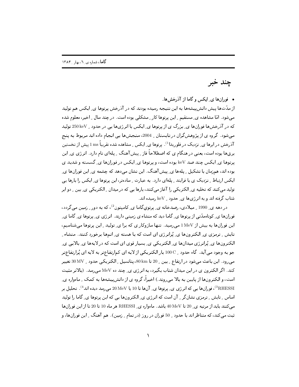چند خبر

• فورانها ی ایکس و گاما از آذرخشها.

از مدّتها پیش دانش پیشهها به این نتیجه رسیده بودند که در آذرخش پرتوها ی ِ ایکس هم تولید می شود. امّا مشاهده ی ِ مستقیم ِ این پرتوها کار ِ مشکلی بوده است. در چند سال ِ اخیر، معلوم شده که در آذرخشها فورانها ی بزرگ ی از پرتوها ی ِ ایکس با انرژیها یی در حدود <sub>ب</sub> 250 keV تولید می شود. گروه ی از پژوهشگران در تابستان \_ 2004، سنجشها یی انجام داده اند مربوط به پنج آذرخش در ابرها ی ِ نزدیک در فلوریدا<sup>1)</sup>. پرتوها ی ِ ایکس ِ مشاهده شده تقریباً 1ms ییش از نخستین برقها بوده است، یعنی در هنگام ی که اصطلاحاً فاز ِ پیش آهنگ ِ پلهای نام دارد. انرژی ی ِ این پرتوها ي ِ ايكس چند صد keV بوده است، و پرتوها ي ِ ايكس در فورانها ي ِ گسسته و شديد ي بوده اند، همزمان با تشکیل \_ پلهها ي\_ پیش آهنگ. این نشان میدهد که چشمه ي\_ این فورانها ي\_ ایکس ارتباط ِ ِ نزدیک ی با فرایند ِ پلهای دارد. به عبارت ِ سادهتر، این پرتوها ی ِ ایکس را بارها یی تولید می کنند که تخلیه ی ِ الکتریکی را آغاز می کنند، بارها یی که در میدان ِ الکتریکی ی ِ بین ِ دو ابر شتاب گرفته اند و به انرژیها ی ِ حدود \_ keV رسیده اند.

در دهه ی 1990 <sub>-</sub> میلادی، رصدخانه ی ِ پرتویگاما ی ِ کامیتون<sup>2</sup>)، که به دور ِ زمین می گردد، فورانها ی ِ کوتاهمدّتی از پرتوها ی ِ گاما دید که منشاء ی زمینی دارند. انرژی ی ِ پرتوها ی ِ گاما ی ِ این فورانها به بیش از ۱MeV میرسید. تنها سازوکار ی که برا ی ِ تولید ِ این پرتوها می شناسیم، تابش ِ ِ ترمزي ي ِ الكترونِها ي ِ يُرانرِ ژي اي است كه با هسته ي ِ اتيهها برخورد كنند. منشاء ِ الکترونها ی ِ پُرانرژی میدانها ی ِ الکتریکی ی ِ بسیار قوی ای است که در لایهها ی ِ بالایی ی ِ جو به وجود می آید. گاه حدود \_ 100 C بار الکتریکی از لایه ای کمارتفاعتر به لایه ای پُرارتفاعتر میرود. این باعث میشود در ارتفاع ِ بین ِ 20 تا 80km، یتانسیل ِ الکتریکی حدود ِ 30MV تغییر کند. اگر الکترون ی در این میدان شتاب بگیرد، به انرژی ی ِ چند ده MeV می رسد. (بالاتر مثبت است، و الکترونِها از پایین به بالا می روند.) اخیراً، گروه ی از دانشپیشهها به کمک ِ ماهواره یِ 8RHESSI)، فورانها یی که انرژی ی ِ پرتوها ی ِ آنها تا 10 یا MeV میرسد دیده اند<sup>4)</sup>. تحلیل بر اساس ِ تابش ِ ترمزی نشانگر ِ آن است که انرژی ی ِ الکترونها یی که این پرتوها ی ِ گاما را تولید می کنند باید از مرتبه ی و20 تا 40 MeV باشد. ماهواره ی RHESSI هر ماه 10 تا 20 تا از این فورانها ثبت می کند، که متناظر اند با حدود \_ 50 فوران در روز (در تمام \_ زمین). هم آهنگ \_ این فورانها، و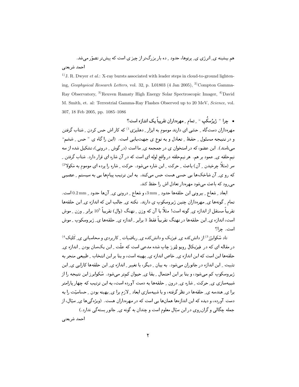هم بیشینه ی ِ انرژی ی ِ پرتوها، حدود ِ ده بار بزرگتر از چیز ی است که پیشتر تصوّر می شد. أحمد شريعتي

<sup>1)</sup> J. R. Dwyer *et al.*: X-ray bursts associated with leader steps in cloud-to-ground lightening, Geophysical Research Letters, vol. 32, p. L01803 (4 Jan 2005), <sup>2)</sup>Compton Gamma-Ray Observatory, <sup>3)</sup>Reuven Ramaty High Energy Solar Spectroscopic Imager, <sup>4)</sup>David M. Smith, et. al: Terrestrial Gamma-Ray Flashes Observed up to 20 MeV, Science, vol. 307, 18 Feb 2005, pp. 1085-1086

• چرا " ژیژسکُپ " په تمام په مهروداران تقریباً یک اندازه است؟ .<br>مهرهداران دستگاه \_ حسّي اي دارند موسوم به ابزار \_ دهليزي <sup>1)</sup> كه كار اش حس كردن \_ شتاب گرفتن و در نتیجه مسئول ِ حفظ ِ تعادل و به نوع ی جهتیابی است. (این را گاه ی "حس ِ ششم" مینامند). این عضو، که در استخوان ی در جمجمه ی ِ ما است (در گوش ِ درونی)، تشکیل شده از سه نیمحلقه ی ِ عمود بر هم. هر نیمحلقه در واقع لوله ای است که در آن شاره ای قرار دارد. شتاب گرفتن ِ سر (مثلاً چرخیدن \_ آن) باعث \_ حرکت \_ این شاره می شود. حرکت \_ شاره را پرده ای موسوم به مَکولا<sup>2)</sup> که رو ی ِ آن شاخکها یی حسی هست حس میکند. به این ترتیب پیامها یی به سیستم ِ عصبی می رود که باعث می شود مهرهدار تعادل اش را حفظ کند.

ابعاد \_ شعاع \_ بيروني اين حلقهها حدود \_ 3mm، و شعاع \_ دروني ي\_ آنها حدود \_ 0.2 mm است. تمام ِ گونهها ی ِ مهرهداران چنین ژیروسکوپ ی دارند. نکته ی ِ جالب این که اندازه ی ِ این حلقهها تقریباً مستقل از اندازه ی ِ گونه است! مثلاً با آن که وزن ِ نهنگ (وال) تقریباً 10<sup>5</sup> برابر ِ وزن ِ موش است، اندازہ ی۔ این حلقهها در نهنگ تقریباً فقط 3 برابر پاندازہ ی حلقهها ی ژیروسکوپ پہوش است. حرا؟

تاد شکوایژز<sup>3</sup>) از دانش کده ی ِ فیزیک و دانش کده ی ِ ریاضیات <sub>ب</sub> کاربردی و محاسباتی ی ِ کَلتِک<sup>4)</sup> در مقاله ای که در افیزیکال رویو لِتِرز چاپ شده مدعی است که علّت راین یک سان بودن راندازه ی حلقهها این است که این اندازه ی ِ خاص اندازه ی ِ بهینه است، و بنا بر این انتخاب ِ طبیعی منجر به تثبیت ِ این اندازه در جانوران میشود. به بیان ِ دیگر، با تغییر ِ اندازه ی ِ این حلقهها کارایی ی ِ این ژیروسکوپ کم میشود، و بنا بر این احتمال ِ بقا ی ِ حیوان کمتر میشود . سْکوایرز این نتیجه را از شبیهسازی ی ِ حرکت ِ شاره ی ِ درون ِ حلقهها به دست آورده است، به این ترتیب که چهار یارامتر برا ی ِ هندسه ی ِ حلقهها در نظر گرفته، و با شبیهسازی ابعاد ـِ لازم برا ی ِ بهینه بودن ـِ حساسیّت را به دست آورده، و دیده که این اندازهها همانها یی است که در مهرهداران هست. (ویژهگیها ی ِ سیّال، از جمله چگالی و گران روی در این سیّال معلوم است و چندان به گونه ی ِ جانور بستهگی ندارد .) أحمد شريعتي